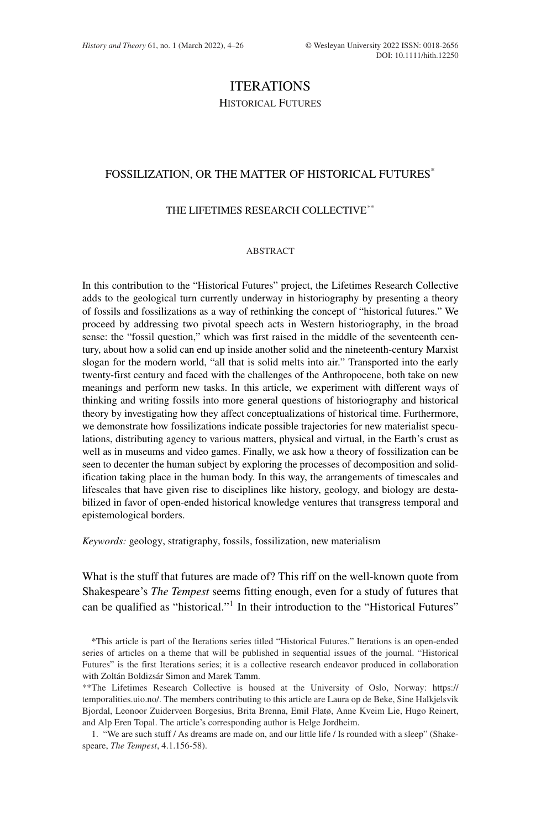# ITERATIONS

HISTORICAL FUTURES

# FOSSILIZATION, OR THE MATTER OF HISTORICAL FUTURES\*

# THE LIFETIMES RESEARCH COLLECTIVE\*\*

## ABSTRACT

In this contribution to the "Historical Futures" project, the Lifetimes Research Collective adds to the geological turn currently underway in historiography by presenting a theory of fossils and fossilizations as a way of rethinking the concept of "historical futures." We proceed by addressing two pivotal speech acts in Western historiography, in the broad sense: the "fossil question," which was first raised in the middle of the seventeenth century, about how a solid can end up inside another solid and the nineteenth-century Marxist slogan for the modern world, "all that is solid melts into air." Transported into the early twenty-first century and faced with the challenges of the Anthropocene, both take on new meanings and perform new tasks. In this article, we experiment with different ways of thinking and writing fossils into more general questions of historiography and historical theory by investigating how they affect conceptualizations of historical time. Furthermore, we demonstrate how fossilizations indicate possible trajectories for new materialist speculations, distributing agency to various matters, physical and virtual, in the Earth's crust as well as in museums and video games. Finally, we ask how a theory of fossilization can be seen to decenter the human subject by exploring the processes of decomposition and solidification taking place in the human body. In this way, the arrangements of timescales and lifescales that have given rise to disciplines like history, geology, and biology are destabilized in favor of open-ended historical knowledge ventures that transgress temporal and epistemological borders.

*Keywords:* geology, stratigraphy, fossils, fossilization, new materialism

What is the stuff that futures are made of? This riff on the well-known quote from Shakespeare's *The Tempest* seems fitting enough, even for a study of futures that can be qualified as "historical."1 In their introduction to the "Historical Futures"

<sup>\*</sup>This article is part of the Iterations series titled "Historical Futures." Iterations is an open-ended series of articles on a theme that will be published in sequential issues of the journal. "Historical Futures" is the first Iterations series; it is a collective research endeavor produced in collaboration with Zoltán Boldizsár Simon and Marek Tamm.

<sup>\*\*</sup>The Lifetimes Research Collective is housed at the University of Oslo, Norway: [https://](https://temporalities.uio.no/) [temporalities.uio.no/.](https://temporalities.uio.no/) The members contributing to this article are Laura op de Beke, Sine Halkjelsvik Bjordal, Leonoor Zuiderveen Borgesius, Brita Brenna, Emil Flatø, Anne Kveim Lie, Hugo Reinert, and Alp Eren Topal. The article's corresponding author is Helge Jordheim.

<sup>1. &</sup>quot;We are such stuff / As dreams are made on, and our little life / Is rounded with a sleep" (Shakespeare, *The Tempest*, 4.1.156-58).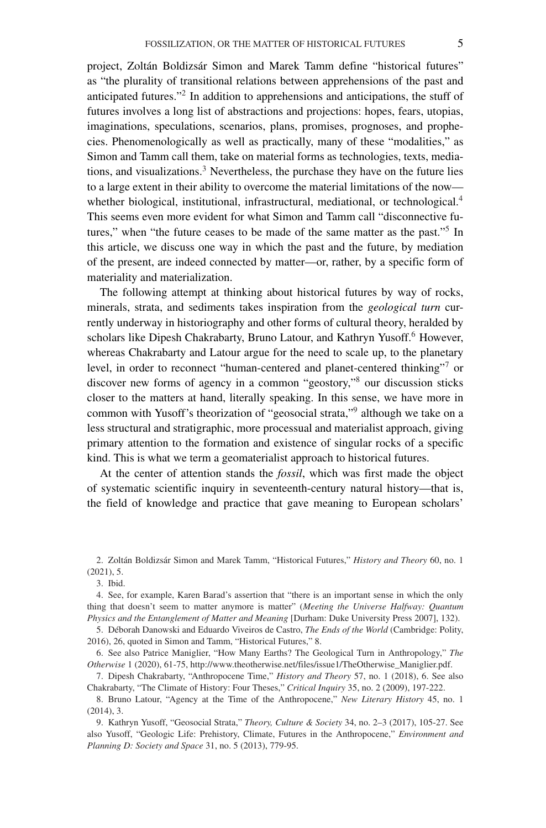project, Zoltán Boldizsár Simon and Marek Tamm define "historical futures" as "the plurality of transitional relations between apprehensions of the past and anticipated futures."2 In addition to apprehensions and anticipations, the stuff of futures involves a long list of abstractions and projections: hopes, fears, utopias, imaginations, speculations, scenarios, plans, promises, prognoses, and prophecies. Phenomenologically as well as practically, many of these "modalities," as Simon and Tamm call them, take on material forms as technologies, texts, mediations, and visualizations. $3$  Nevertheless, the purchase they have on the future lies to a large extent in their ability to overcome the material limitations of the now whether biological, institutional, infrastructural, mediational, or technological.<sup>4</sup> This seems even more evident for what Simon and Tamm call "disconnective futures," when "the future ceases to be made of the same matter as the past."<sup>5</sup> In this article, we discuss one way in which the past and the future, by mediation of the present, are indeed connected by matter—or, rather, by a specific form of materiality and materialization.

The following attempt at thinking about historical futures by way of rocks, minerals, strata, and sediments takes inspiration from the *geological turn* currently underway in historiography and other forms of cultural theory, heralded by scholars like Dipesh Chakrabarty, Bruno Latour, and Kathryn Yusoff.<sup>6</sup> However, whereas Chakrabarty and Latour argue for the need to scale up, to the planetary level, in order to reconnect "human-centered and planet-centered thinking"<sup>7</sup> or discover new forms of agency in a common "geostory,"8 our discussion sticks closer to the matters at hand, literally speaking. In this sense, we have more in common with Yusoff's theorization of "geosocial strata,"9 although we take on a less structural and stratigraphic, more processual and materialist approach, giving primary attention to the formation and existence of singular rocks of a specific kind. This is what we term a geomaterialist approach to historical futures.

At the center of attention stands the *fossil*, which was first made the object of systematic scientific inquiry in seventeenth-century natural history—that is, the field of knowledge and practice that gave meaning to European scholars'

3. Ibid.

4. See, for example, Karen Barad's assertion that "there is an important sense in which the only thing that doesn't seem to matter anymore is matter" (*Meeting the Universe Halfway: Quantum Physics and the Entanglement of Matter and Meaning* [Durham: Duke University Press 2007], 132).

5. Déborah Danowski and Eduardo Viveiros de Castro, *The Ends of the World* (Cambridge: Polity, 2016), 26, quoted in Simon and Tamm, "Historical Futures," 8.

6. See also Patrice Maniglier, "How Many Earths? The Geological Turn in Anthropology," *The Otherwise* 1 (2020), 61-75, [http://www.theotherwise.net/files/issue1/TheOtherwise\\_Maniglier.pdf.](http://www.theotherwise.net/files/issue1/TheOtherwise_Maniglier.pdf)

7. Dipesh Chakrabarty, "Anthropocene Time," *History and Theory* 57, no. 1 (2018), 6. See also Chakrabarty, "The Climate of History: Four Theses," *Critical Inquiry* 35, no. 2 (2009), 197-222.

8. Bruno Latour, "Agency at the Time of the Anthropocene," *New Literary History* 45, no. 1 (2014), 3.

9. Kathryn Yusoff, "Geosocial Strata," *Theory, Culture & Society* 34, no. 2–3 (2017), 105-27. See also Yusoff, "Geologic Life: Prehistory, Climate, Futures in the Anthropocene," *Environment and Planning D: Society and Space* 31, no. 5 (2013), 779-95.

<sup>2.</sup> Zoltán Boldizsár Simon and Marek Tamm, "Historical Futures," *History and Theory* 60, no. 1 (2021), 5.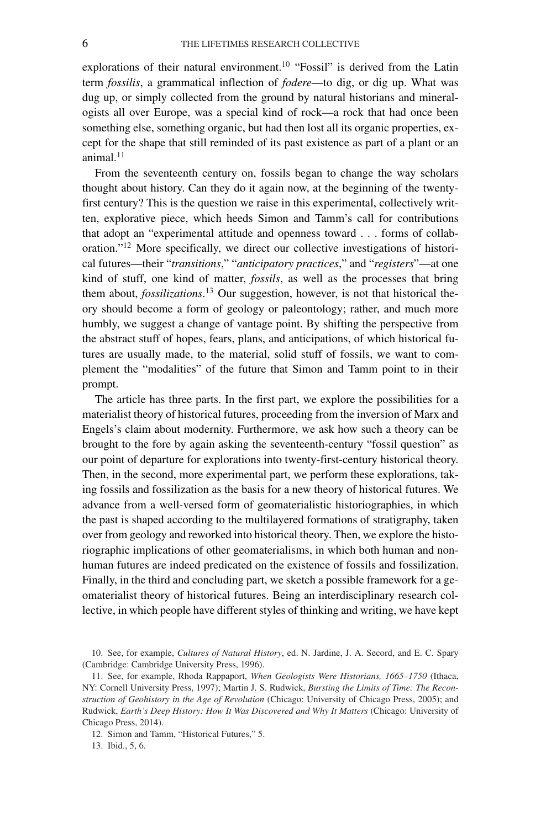explorations of their natural environment.<sup>10</sup> "Fossil" is derived from the Latin term *fossilis*, a grammatical inflection of *fodere*—to dig, or dig up. What was dug up, or simply collected from the ground by natural historians and mineralogists all over Europe, was a special kind of rock—a rock that had once been something else, something organic, but had then lost all its organic properties, except for the shape that still reminded of its past existence as part of a plant or an animal. $11$ 

From the seventeenth century on, fossils began to change the way scholars thought about history. Can they do it again now, at the beginning of the twentyfirst century? This is the question we raise in this experimental, collectively written, explorative piece, which heeds Simon and Tamm's call for contributions that adopt an "experimental attitude and openness toward . . . forms of collaboration."12 More specifically, we direct our collective investigations of historical futures—their "*transitions*," "*anticipatory practices*," and "*registers*"—at one kind of stuff, one kind of matter, *fossils*, as well as the processes that bring them about, *fossilizations*. <sup>13</sup> Our suggestion, however, is not that historical theory should become a form of geology or paleontology; rather, and much more humbly, we suggest a change of vantage point. By shifting the perspective from the abstract stuff of hopes, fears, plans, and anticipations, of which historical futures are usually made, to the material, solid stuff of fossils, we want to complement the "modalities" of the future that Simon and Tamm point to in their prompt.

The article has three parts. In the first part, we explore the possibilities for a materialist theory of historical futures, proceeding from the inversion of Marx and Engels's claim about modernity. Furthermore, we ask how such a theory can be brought to the fore by again asking the seventeenth-century "fossil question" as our point of departure for explorations into twenty-first-century historical theory. Then, in the second, more experimental part, we perform these explorations, taking fossils and fossilization as the basis for a new theory of historical futures. We advance from a well-versed form of geomaterialistic historiographies, in which the past is shaped according to the multilayered formations of stratigraphy, taken over from geology and reworked into historical theory. Then, we explore the historiographic implications of other geomaterialisms, in which both human and nonhuman futures are indeed predicated on the existence of fossils and fossilization. Finally, in the third and concluding part, we sketch a possible framework for a geomaterialist theory of historical futures. Being an interdisciplinary research collective, in which people have different styles of thinking and writing, we have kept

<sup>10.</sup> See, for example, *Cultures of Natural History*, ed. N. Jardine, J. A. Secord, and E. C. Spary (Cambridge: Cambridge University Press, 1996).

<sup>11.</sup> See, for example, Rhoda Rappaport, *When Geologists Were Historians, 1665–1750* (Ithaca, NY: Cornell University Press, 1997); Martin J. S. Rudwick, *Bursting the Limits of Time: The Reconstruction of Geohistory in the Age of Revolution* (Chicago: University of Chicago Press, 2005); and Rudwick, *Earth's Deep History: How It Was Discovered and Why It Matters* (Chicago: University of Chicago Press, 2014).

<sup>12.</sup> Simon and Tamm, "Historical Futures," 5.

<sup>13.</sup> Ibid., 5, 6.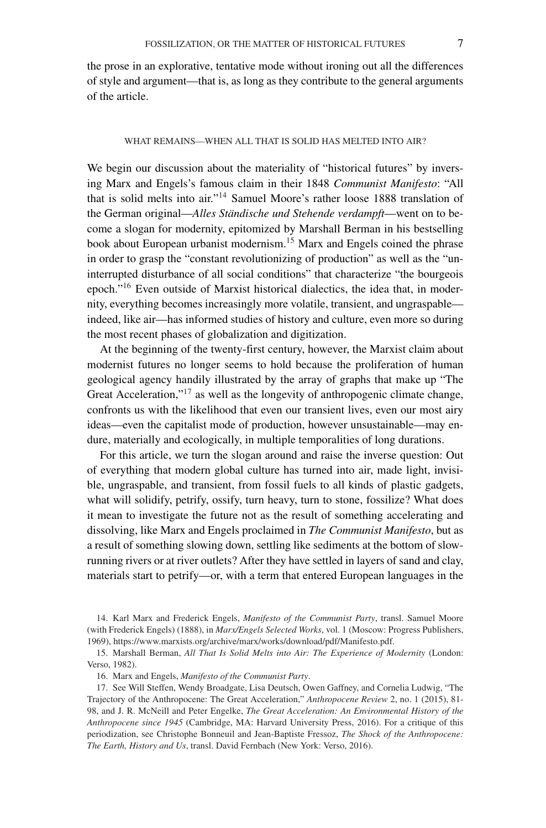### WHAT REMAINS—WHEN ALL THAT IS SOLID HAS MELTED INTO AIR?

We begin our discussion about the materiality of "historical futures" by inversing Marx and Engels's famous claim in their 1848 *Communist Manifesto*: "All that is solid melts into air."14 Samuel Moore's rather loose 1888 translation of the German original—*Alles Ständische und Stehende verdampft*—went on to become a slogan for modernity, epitomized by Marshall Berman in his bestselling book about European urbanist modernism.15 Marx and Engels coined the phrase in order to grasp the "constant revolutionizing of production" as well as the "uninterrupted disturbance of all social conditions" that characterize "the bourgeois epoch."16 Even outside of Marxist historical dialectics, the idea that, in modernity, everything becomes increasingly more volatile, transient, and ungraspable indeed, like air—has informed studies of history and culture, even more so during the most recent phases of globalization and digitization.

At the beginning of the twenty-first century, however, the Marxist claim about modernist futures no longer seems to hold because the proliferation of human geological agency handily illustrated by the array of graphs that make up "The Great Acceleration,"<sup>17</sup> as well as the longevity of anthropogenic climate change, confronts us with the likelihood that even our transient lives, even our most airy ideas—even the capitalist mode of production, however unsustainable—may endure, materially and ecologically, in multiple temporalities of long durations.

For this article, we turn the slogan around and raise the inverse question: Out of everything that modern global culture has turned into air, made light, invisible, ungraspable, and transient, from fossil fuels to all kinds of plastic gadgets, what will solidify, petrify, ossify, turn heavy, turn to stone, fossilize? What does it mean to investigate the future not as the result of something accelerating and dissolving, like Marx and Engels proclaimed in *The Communist Manifesto*, but as a result of something slowing down, settling like sediments at the bottom of slowrunning rivers or at river outlets? After they have settled in layers of sand and clay, materials start to petrify—or, with a term that entered European languages in the

14. Karl Marx and Frederick Engels, *Manifesto of the Communist Party*, transl. Samuel Moore (with Frederick Engels) (1888), in *Marx/Engels Selected Works*, vol. 1 (Moscow: Progress Publishers, 1969), [https://www.marxists.org/archive/marx/works/download/pdf/Manifesto.pdf.](https://www.marxists.org/archive/marx/works/download/pdf/Manifesto.pdf)

15. Marshall Berman, *All That Is Solid Melts into Air: The Experience of Modernity* (London: Verso, 1982).

16. Marx and Engels, *Manifesto of the Communist Party*.

17. See Will Steffen, Wendy Broadgate, Lisa Deutsch, Owen Gaffney, and Cornelia Ludwig, "The Trajectory of the Anthropocene: The Great Acceleration," *Anthropocene Review* 2, no. 1 (2015), 81- 98, and J. R. McNeill and Peter Engelke, *The Great Acceleration: An Environmental History of the Anthropocene since 1945* (Cambridge, MA: Harvard University Press, 2016). For a critique of this periodization, see Christophe Bonneuil and Jean-Baptiste Fressoz, *The Shock of the Anthropocene: The Earth, History and Us*, transl. David Fernbach (New York: Verso, 2016).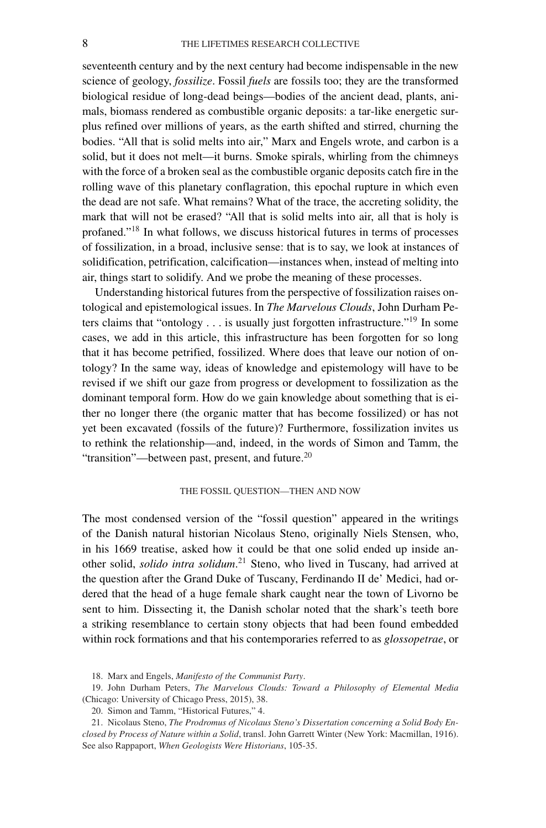seventeenth century and by the next century had become indispensable in the new science of geology, *fossilize*. Fossil *fuels* are fossils too; they are the transformed biological residue of long-dead beings—bodies of the ancient dead, plants, animals, biomass rendered as combustible organic deposits: a tar-like energetic surplus refined over millions of years, as the earth shifted and stirred, churning the bodies. "All that is solid melts into air," Marx and Engels wrote, and carbon is a solid, but it does not melt—it burns. Smoke spirals, whirling from the chimneys with the force of a broken seal as the combustible organic deposits catch fire in the rolling wave of this planetary conflagration, this epochal rupture in which even the dead are not safe. What remains? What of the trace, the accreting solidity, the mark that will not be erased? "All that is solid melts into air, all that is holy is profaned."18 In what follows, we discuss historical futures in terms of processes of fossilization, in a broad, inclusive sense: that is to say, we look at instances of solidification, petrification, calcification—instances when, instead of melting into air, things start to solidify. And we probe the meaning of these processes.

Understanding historical futures from the perspective of fossilization raises ontological and epistemological issues. In *The Marvelous Clouds*, John Durham Peters claims that "ontology  $\dots$  is usually just forgotten infrastructure."<sup>19</sup> In some cases, we add in this article, this infrastructure has been forgotten for so long that it has become petrified, fossilized. Where does that leave our notion of ontology? In the same way, ideas of knowledge and epistemology will have to be revised if we shift our gaze from progress or development to fossilization as the dominant temporal form. How do we gain knowledge about something that is either no longer there (the organic matter that has become fossilized) or has not yet been excavated (fossils of the future)? Furthermore, fossilization invites us to rethink the relationship—and, indeed, in the words of Simon and Tamm, the "transition"—between past, present, and future. $20$ 

## THE FOSSIL QUESTION—THEN AND NOW

The most condensed version of the "fossil question" appeared in the writings of the Danish natural historian Nicolaus Steno, originally Niels Stensen, who, in his 1669 treatise, asked how it could be that one solid ended up inside another solid, *solido intra solidum*. <sup>21</sup> Steno, who lived in Tuscany, had arrived at the question after the Grand Duke of Tuscany, Ferdinando II de' Medici, had ordered that the head of a huge female shark caught near the town of Livorno be sent to him. Dissecting it, the Danish scholar noted that the shark's teeth bore a striking resemblance to certain stony objects that had been found embedded within rock formations and that his contemporaries referred to as *glossopetrae*, or

<sup>18.</sup> Marx and Engels, *Manifesto of the Communist Party*.

<sup>19.</sup> John Durham Peters, *The Marvelous Clouds: Toward a Philosophy of Elemental Media* (Chicago: University of Chicago Press, 2015), 38.

<sup>20.</sup> Simon and Tamm, "Historical Futures," 4.

<sup>21.</sup> Nicolaus Steno, *The Prodromus of Nicolaus Steno's Dissertation concerning a Solid Body Enclosed by Process of Nature within a Solid*, transl. John Garrett Winter (New York: Macmillan, 1916). See also Rappaport, *When Geologists Were Historians*, 105-35.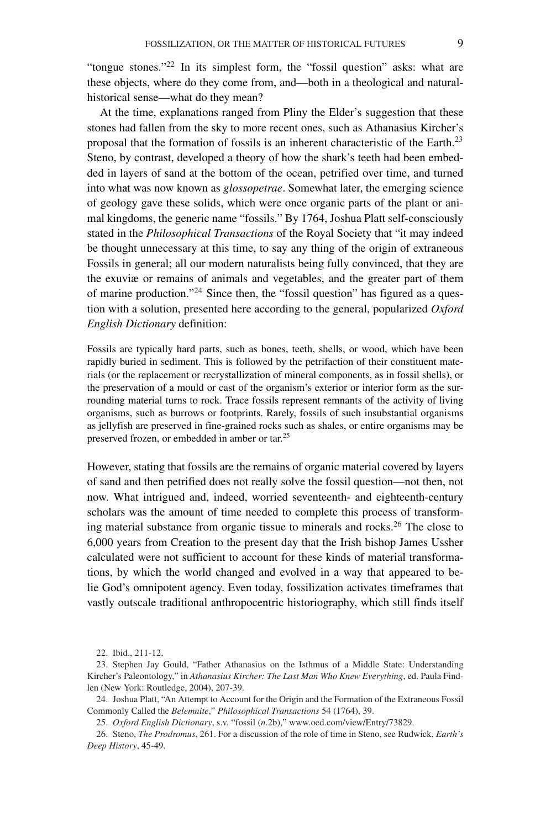"tongue stones."<sup>22</sup> In its simplest form, the "fossil question" asks: what are these objects, where do they come from, and—both in a theological and naturalhistorical sense—what do they mean?

At the time, explanations ranged from Pliny the Elder's suggestion that these stones had fallen from the sky to more recent ones, such as Athanasius Kircher's proposal that the formation of fossils is an inherent characteristic of the Earth.<sup>23</sup> Steno, by contrast, developed a theory of how the shark's teeth had been embedded in layers of sand at the bottom of the ocean, petrified over time, and turned into what was now known as *glossopetrae*. Somewhat later, the emerging science of geology gave these solids, which were once organic parts of the plant or animal kingdoms, the generic name "fossils." By 1764, Joshua Platt self-consciously stated in the *Philosophical Transactions* of the Royal Society that "it may indeed be thought unnecessary at this time, to say any thing of the origin of extraneous Fossils in general; all our modern naturalists being fully convinced, that they are the exuviæ or remains of animals and vegetables, and the greater part of them of marine production."<sup>24</sup> Since then, the "fossil question" has figured as a question with a solution, presented here according to the general, popularized *Oxford English Dictionary* definition:

Fossils are typically hard parts, such as bones, teeth, shells, or wood, which have been rapidly buried in sediment. This is followed by the petrifaction of their constituent materials (or the replacement or recrystallization of mineral components, as in fossil shells), or the preservation of a mould or cast of the organism's exterior or interior form as the surrounding material turns to rock. Trace fossils represent remnants of the activity of living organisms, such as burrows or footprints. Rarely, fossils of such insubstantial organisms as jellyfish are preserved in fine-grained rocks such as shales, or entire organisms may be preserved frozen, or embedded in amber or tar.25

However, stating that fossils are the remains of organic material covered by layers of sand and then petrified does not really solve the fossil question—not then, not now. What intrigued and, indeed, worried seventeenth- and eighteenth-century scholars was the amount of time needed to complete this process of transforming material substance from organic tissue to minerals and rocks.<sup>26</sup> The close to 6,000 years from Creation to the present day that the Irish bishop James Ussher calculated were not sufficient to account for these kinds of material transformations, by which the world changed and evolved in a way that appeared to belie God's omnipotent agency. Even today, fossilization activates timeframes that vastly outscale traditional anthropocentric historiography, which still finds itself

<sup>22.</sup> Ibid., 211-12.

<sup>23.</sup> Stephen Jay Gould, "Father Athanasius on the Isthmus of a Middle State: Understanding Kircher's Paleontology," in *Athanasius Kircher: The Last Man Who Knew Everything*, ed. Paula Findlen (New York: Routledge, 2004), 207-39.

<sup>24.</sup> Joshua Platt, "An Attempt to Account for the Origin and the Formation of the Extraneous Fossil Commonly Called the *Belemnite*," *Philosophical Transactions* 54 (1764), 39.

<sup>25.</sup> *Oxford English Dictionary*, s.v. "fossil (*n*.2b)," [www.oed.com/view/Entry/73829.](http://www.oed.com/view/Entry/73829)

<sup>26.</sup> Steno, *The Prodromus*, 261. For a discussion of the role of time in Steno, see Rudwick, *Earth's Deep History*, 45-49.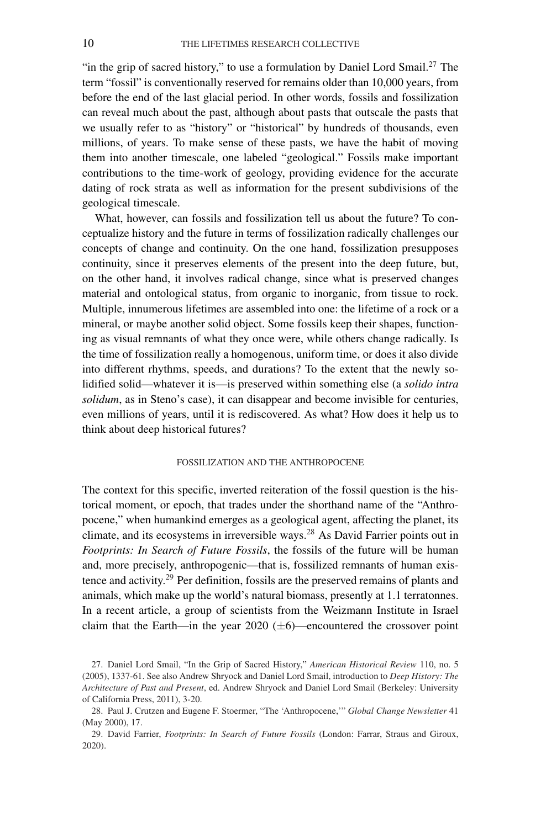"in the grip of sacred history," to use a formulation by Daniel Lord Smail.<sup>27</sup> The term "fossil" is conventionally reserved for remains older than 10,000 years, from before the end of the last glacial period. In other words, fossils and fossilization can reveal much about the past, although about pasts that outscale the pasts that we usually refer to as "history" or "historical" by hundreds of thousands, even millions, of years. To make sense of these pasts, we have the habit of moving them into another timescale, one labeled "geological." Fossils make important contributions to the time-work of geology, providing evidence for the accurate dating of rock strata as well as information for the present subdivisions of the geological timescale.

What, however, can fossils and fossilization tell us about the future? To conceptualize history and the future in terms of fossilization radically challenges our concepts of change and continuity. On the one hand, fossilization presupposes continuity, since it preserves elements of the present into the deep future, but, on the other hand, it involves radical change, since what is preserved changes material and ontological status, from organic to inorganic, from tissue to rock. Multiple, innumerous lifetimes are assembled into one: the lifetime of a rock or a mineral, or maybe another solid object. Some fossils keep their shapes, functioning as visual remnants of what they once were, while others change radically. Is the time of fossilization really a homogenous, uniform time, or does it also divide into different rhythms, speeds, and durations? To the extent that the newly solidified solid—whatever it is—is preserved within something else (a *solido intra solidum*, as in Steno's case), it can disappear and become invisible for centuries, even millions of years, until it is rediscovered. As what? How does it help us to think about deep historical futures?

# FOSSILIZATION AND THE ANTHROPOCENE

The context for this specific, inverted reiteration of the fossil question is the historical moment, or epoch, that trades under the shorthand name of the "Anthropocene," when humankind emerges as a geological agent, affecting the planet, its climate, and its ecosystems in irreversible ways.<sup>28</sup> As David Farrier points out in *Footprints: In Search of Future Fossils*, the fossils of the future will be human and, more precisely, anthropogenic—that is, fossilized remnants of human existence and activity.<sup>29</sup> Per definition, fossils are the preserved remains of plants and animals, which make up the world's natural biomass, presently at 1.1 terratonnes. In a recent article, a group of scientists from the Weizmann Institute in Israel claim that the Earth—in the year  $2020 \ (\pm 6)$ —encountered the crossover point

<sup>27.</sup> Daniel Lord Smail, "In the Grip of Sacred History," *American Historical Review* 110, no. 5 (2005), 1337-61. See also Andrew Shryock and Daniel Lord Smail, introduction to *Deep History: The Architecture of Past and Present*, ed. Andrew Shryock and Daniel Lord Smail (Berkeley: University of California Press, 2011), 3-20.

<sup>28.</sup> Paul J. Crutzen and Eugene F. Stoermer, "The 'Anthropocene,'" *Global Change Newsletter* 41 (May 2000), 17.

<sup>29.</sup> David Farrier, *Footprints: In Search of Future Fossils* (London: Farrar, Straus and Giroux, 2020).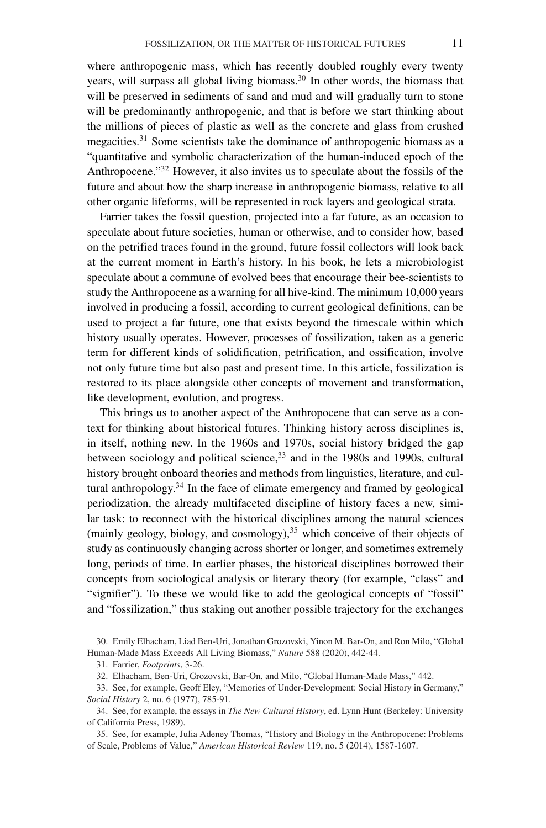where anthropogenic mass, which has recently doubled roughly every twenty years, will surpass all global living biomass.<sup>30</sup> In other words, the biomass that will be preserved in sediments of sand and mud and will gradually turn to stone will be predominantly anthropogenic, and that is before we start thinking about the millions of pieces of plastic as well as the concrete and glass from crushed megacities.31 Some scientists take the dominance of anthropogenic biomass as a "quantitative and symbolic characterization of the human-induced epoch of the Anthropocene."<sup>32</sup> However, it also invites us to speculate about the fossils of the future and about how the sharp increase in anthropogenic biomass, relative to all other organic lifeforms, will be represented in rock layers and geological strata.

Farrier takes the fossil question, projected into a far future, as an occasion to speculate about future societies, human or otherwise, and to consider how, based on the petrified traces found in the ground, future fossil collectors will look back at the current moment in Earth's history. In his book, he lets a microbiologist speculate about a commune of evolved bees that encourage their bee-scientists to study the Anthropocene as a warning for all hive-kind. The minimum 10,000 years involved in producing a fossil, according to current geological definitions, can be used to project a far future, one that exists beyond the timescale within which history usually operates. However, processes of fossilization, taken as a generic term for different kinds of solidification, petrification, and ossification, involve not only future time but also past and present time. In this article, fossilization is restored to its place alongside other concepts of movement and transformation, like development, evolution, and progress.

This brings us to another aspect of the Anthropocene that can serve as a context for thinking about historical futures. Thinking history across disciplines is, in itself, nothing new. In the 1960s and 1970s, social history bridged the gap between sociology and political science,  $33$  and in the 1980s and 1990s, cultural history brought onboard theories and methods from linguistics, literature, and cultural anthropology. $34$  In the face of climate emergency and framed by geological periodization, the already multifaceted discipline of history faces a new, similar task: to reconnect with the historical disciplines among the natural sciences (mainly geology, biology, and cosmology),  $35$  which conceive of their objects of study as continuously changing across shorter or longer, and sometimes extremely long, periods of time. In earlier phases, the historical disciplines borrowed their concepts from sociological analysis or literary theory (for example, "class" and "signifier"). To these we would like to add the geological concepts of "fossil" and "fossilization," thus staking out another possible trajectory for the exchanges

<sup>30.</sup> Emily Elhacham, Liad Ben-Uri, Jonathan Grozovski, Yinon M. Bar-On, and Ron Milo, "Global Human-Made Mass Exceeds All Living Biomass," *Nature* 588 (2020), 442-44.

<sup>31.</sup> Farrier, *Footprints*, 3-26.

<sup>32.</sup> Elhacham, Ben-Uri, Grozovski, Bar-On, and Milo, "Global Human-Made Mass," 442.

<sup>33.</sup> See, for example, Geoff Eley, "Memories of Under-Development: Social History in Germany," *Social History* 2, no. 6 (1977), 785-91.

<sup>34.</sup> See, for example, the essays in *The New Cultural History*, ed. Lynn Hunt (Berkeley: University of California Press, 1989).

<sup>35.</sup> See, for example, Julia Adeney Thomas, "History and Biology in the Anthropocene: Problems of Scale, Problems of Value," *American Historical Review* 119, no. 5 (2014), 1587-1607.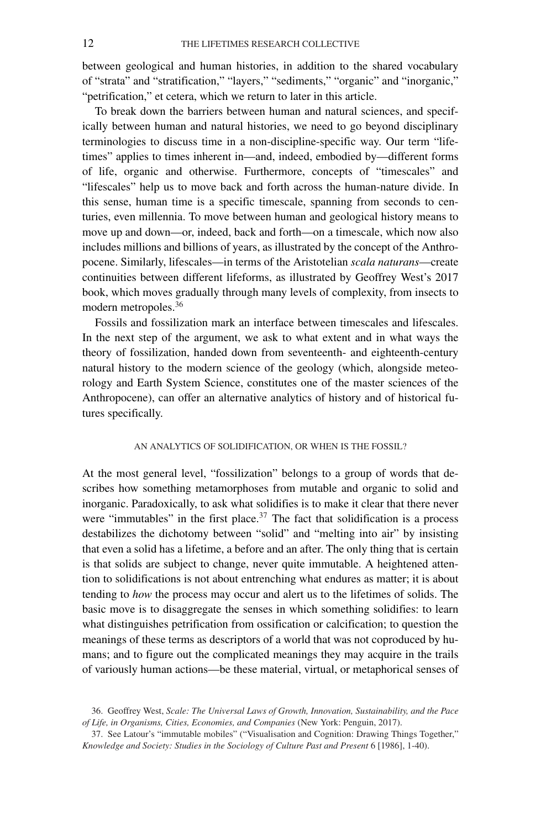between geological and human histories, in addition to the shared vocabulary of "strata" and "stratification," "layers," "sediments," "organic" and "inorganic," "petrification," et cetera, which we return to later in this article.

To break down the barriers between human and natural sciences, and specifically between human and natural histories, we need to go beyond disciplinary terminologies to discuss time in a non-discipline-specific way. Our term "lifetimes" applies to times inherent in—and, indeed, embodied by—different forms of life, organic and otherwise. Furthermore, concepts of "timescales" and "lifescales" help us to move back and forth across the human-nature divide. In this sense, human time is a specific timescale, spanning from seconds to centuries, even millennia. To move between human and geological history means to move up and down—or, indeed, back and forth—on a timescale, which now also includes millions and billions of years, as illustrated by the concept of the Anthropocene. Similarly, lifescales—in terms of the Aristotelian *scala naturans*—create continuities between different lifeforms, as illustrated by Geoffrey West's 2017 book, which moves gradually through many levels of complexity, from insects to modern metropoles.<sup>36</sup>

Fossils and fossilization mark an interface between timescales and lifescales. In the next step of the argument, we ask to what extent and in what ways the theory of fossilization, handed down from seventeenth- and eighteenth-century natural history to the modern science of the geology (which, alongside meteorology and Earth System Science, constitutes one of the master sciences of the Anthropocene), can offer an alternative analytics of history and of historical futures specifically.

### AN ANALYTICS OF SOLIDIFICATION, OR WHEN IS THE FOSSIL?

At the most general level, "fossilization" belongs to a group of words that describes how something metamorphoses from mutable and organic to solid and inorganic. Paradoxically, to ask what solidifies is to make it clear that there never were "immutables" in the first place.<sup>37</sup> The fact that solidification is a process destabilizes the dichotomy between "solid" and "melting into air" by insisting that even a solid has a lifetime, a before and an after. The only thing that is certain is that solids are subject to change, never quite immutable. A heightened attention to solidifications is not about entrenching what endures as matter; it is about tending to *how* the process may occur and alert us to the lifetimes of solids. The basic move is to disaggregate the senses in which something solidifies: to learn what distinguishes petrification from ossification or calcification; to question the meanings of these terms as descriptors of a world that was not coproduced by humans; and to figure out the complicated meanings they may acquire in the trails of variously human actions—be these material, virtual, or metaphorical senses of

<sup>36.</sup> Geoffrey West, *Scale: The Universal Laws of Growth, Innovation, Sustainability, and the Pace of Life, in Organisms, Cities, Economies, and Companies* (New York: Penguin, 2017).

<sup>37.</sup> See Latour's "immutable mobiles" ("Visualisation and Cognition: Drawing Things Together," *Knowledge and Society: Studies in the Sociology of Culture Past and Present* 6 [1986], 1-40).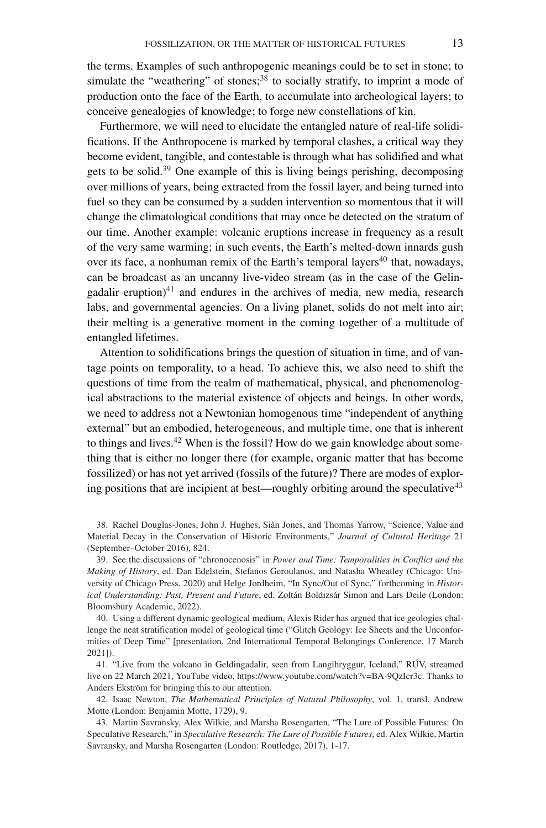the terms. Examples of such anthropogenic meanings could be to set in stone; to simulate the "weathering" of stones;<sup>38</sup> to socially stratify, to imprint a mode of production onto the face of the Earth, to accumulate into archeological layers; to conceive genealogies of knowledge; to forge new constellations of kin.

Furthermore, we will need to elucidate the entangled nature of real-life solidifications. If the Anthropocene is marked by temporal clashes, a critical way they become evident, tangible, and contestable is through what has solidified and what gets to be solid.39 One example of this is living beings perishing, decomposing over millions of years, being extracted from the fossil layer, and being turned into fuel so they can be consumed by a sudden intervention so momentous that it will change the climatological conditions that may once be detected on the stratum of our time. Another example: volcanic eruptions increase in frequency as a result of the very same warming; in such events, the Earth's melted-down innards gush over its face, a nonhuman remix of the Earth's temporal layers<sup>40</sup> that, nowadays, can be broadcast as an uncanny live-video stream (as in the case of the Gelingadalir eruption) $41$  and endures in the archives of media, new media, research labs, and governmental agencies. On a living planet, solids do not melt into air; their melting is a generative moment in the coming together of a multitude of entangled lifetimes.

Attention to solidifications brings the question of situation in time, and of vantage points on temporality, to a head. To achieve this, we also need to shift the questions of time from the realm of mathematical, physical, and phenomenological abstractions to the material existence of objects and beings. In other words, we need to address not a Newtonian homogenous time "independent of anything external" but an embodied, heterogeneous, and multiple time, one that is inherent to things and lives. $42$  When is the fossil? How do we gain knowledge about something that is either no longer there (for example, organic matter that has become fossilized) or has not yet arrived (fossils of the future)? There are modes of exploring positions that are incipient at best—roughly orbiting around the speculative $43$ 

38. Rachel Douglas-Jones, John J. Hughes, Siân Jones, and Thomas Yarrow, "Science, Value and Material Decay in the Conservation of Historic Environments," *Journal of Cultural Heritage* 21 (September–October 2016), 824.

39. See the discussions of "chronocenosis" in *Power and Time: Temporalities in Conflict and the Making of History*, ed. Dan Edelstein, Stefanos Geroulanos, and Natasha Wheatley (Chicago: University of Chicago Press, 2020) and Helge Jordheim, "In Sync/Out of Sync," forthcoming in *Historical Understanding: Past, Present and Future*, ed. Zoltán Boldizsár Simon and Lars Deile (London: Bloomsbury Academic, 2022).

40. Using a different dynamic geological medium, Alexis Rider has argued that ice geologies challenge the neat stratification model of geological time ("Glitch Geology: Ice Sheets and the Unconformities of Deep Time" [presentation, 2nd International Temporal Belongings Conference, 17 March 2021]).

41. "Live from the volcano in Geldingadalir, seen from Langihryggur, Iceland," RÚV, streamed live on 22 March 2021, YouTube video, [https://www.youtube.com/watch?v=BA-9QzIcr3c.](https://www.youtube.com/watch?v=BA-9QzIcr3c) Thanks to Anders Ekström for bringing this to our attention.

42. Isaac Newton, *The Mathematical Principles of Natural Philosophy*, vol. 1, transl. Andrew Motte (London: Benjamin Motte, 1729), 9.

43. Martin Savransky, Alex Wilkie, and Marsha Rosengarten, "The Lure of Possible Futures: On Speculative Research," in *Speculative Research: The Lure of Possible Futures*, ed. Alex Wilkie, Martin Savransky, and Marsha Rosengarten (London: Routledge, 2017), 1-17.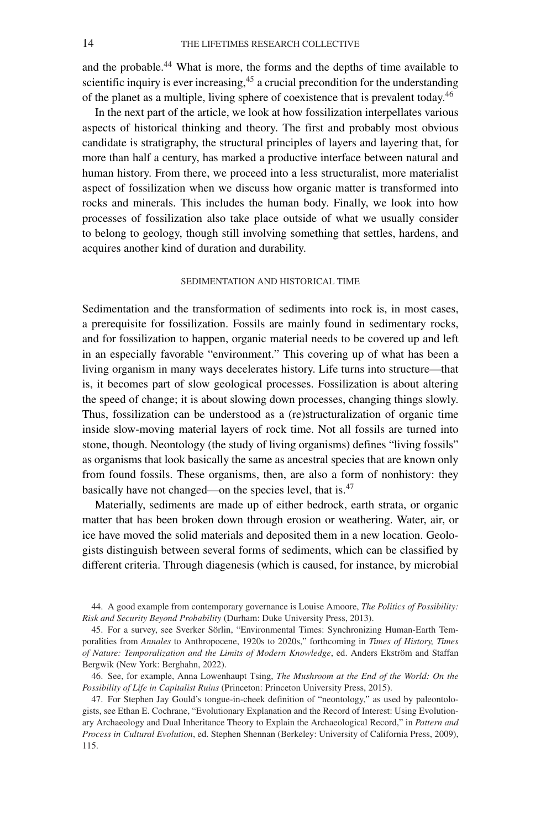and the probable.<sup>44</sup> What is more, the forms and the depths of time available to scientific inquiry is ever increasing, <sup>45</sup> a crucial precondition for the understanding of the planet as a multiple, living sphere of coexistence that is prevalent today.<sup>46</sup>

In the next part of the article, we look at how fossilization interpellates various aspects of historical thinking and theory. The first and probably most obvious candidate is stratigraphy, the structural principles of layers and layering that, for more than half a century, has marked a productive interface between natural and human history. From there, we proceed into a less structuralist, more materialist aspect of fossilization when we discuss how organic matter is transformed into rocks and minerals. This includes the human body. Finally, we look into how processes of fossilization also take place outside of what we usually consider to belong to geology, though still involving something that settles, hardens, and acquires another kind of duration and durability.

### SEDIMENTATION AND HISTORICAL TIME

Sedimentation and the transformation of sediments into rock is, in most cases, a prerequisite for fossilization. Fossils are mainly found in sedimentary rocks, and for fossilization to happen, organic material needs to be covered up and left in an especially favorable "environment." This covering up of what has been a living organism in many ways decelerates history. Life turns into structure—that is, it becomes part of slow geological processes. Fossilization is about altering the speed of change; it is about slowing down processes, changing things slowly. Thus, fossilization can be understood as a (re)structuralization of organic time inside slow-moving material layers of rock time. Not all fossils are turned into stone, though. Neontology (the study of living organisms) defines "living fossils" as organisms that look basically the same as ancestral species that are known only from found fossils. These organisms, then, are also a form of nonhistory: they basically have not changed—on the species level, that is.<sup>47</sup>

Materially, sediments are made up of either bedrock, earth strata, or organic matter that has been broken down through erosion or weathering. Water, air, or ice have moved the solid materials and deposited them in a new location. Geologists distinguish between several forms of sediments, which can be classified by different criteria. Through diagenesis (which is caused, for instance, by microbial

44. A good example from contemporary governance is Louise Amoore, *The Politics of Possibility: Risk and Security Beyond Probability* (Durham: Duke University Press, 2013).

45. For a survey, see Sverker Sörlin, "Environmental Times: Synchronizing Human-Earth Temporalities from *Annales* to Anthropocene, 1920s to 2020s," forthcoming in *Times of History, Times of Nature: Temporalization and the Limits of Modern Knowledge*, ed. Anders Ekström and Staffan Bergwik (New York: Berghahn, 2022).

46. See, for example, Anna Lowenhaupt Tsing, *The Mushroom at the End of the World: On the Possibility of Life in Capitalist Ruins* (Princeton: Princeton University Press, 2015).

47. For Stephen Jay Gould's tongue-in-cheek definition of "neontology," as used by paleontologists, see Ethan E. Cochrane, "Evolutionary Explanation and the Record of Interest: Using Evolutionary Archaeology and Dual Inheritance Theory to Explain the Archaeological Record," in *Pattern and Process in Cultural Evolution*, ed. Stephen Shennan (Berkeley: University of California Press, 2009), 115.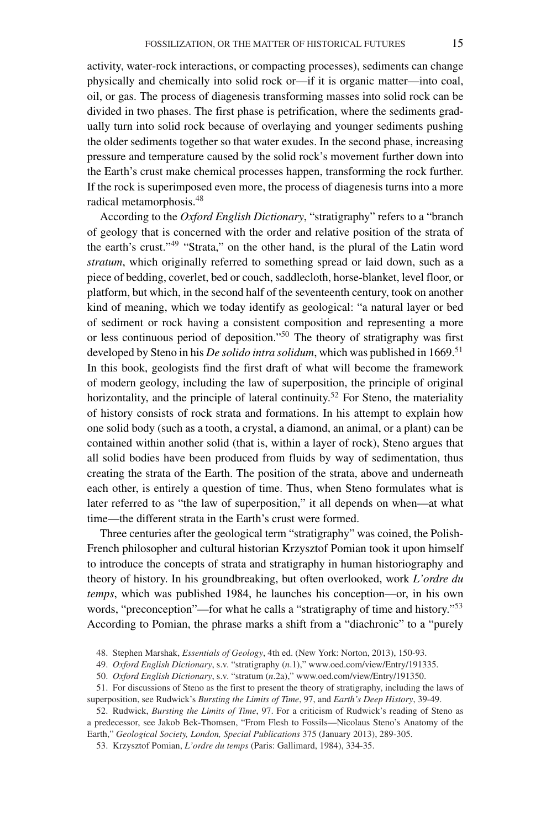activity, water-rock interactions, or compacting processes), sediments can change physically and chemically into solid rock or—if it is organic matter—into coal, oil, or gas. The process of diagenesis transforming masses into solid rock can be divided in two phases. The first phase is petrification, where the sediments gradually turn into solid rock because of overlaying and younger sediments pushing the older sediments together so that water exudes. In the second phase, increasing pressure and temperature caused by the solid rock's movement further down into the Earth's crust make chemical processes happen, transforming the rock further. If the rock is superimposed even more, the process of diagenesis turns into a more radical metamorphosis.48

According to the *Oxford English Dictionary*, "stratigraphy" refers to a "branch of geology that is concerned with the order and relative position of the strata of the earth's crust."49 "Strata," on the other hand, is the plural of the Latin word *stratum*, which originally referred to something spread or laid down, such as a piece of bedding, coverlet, bed or couch, saddlecloth, horse-blanket, level floor, or platform, but which, in the second half of the seventeenth century, took on another kind of meaning, which we today identify as geological: "a natural layer or bed of sediment or rock having a consistent composition and representing a more or less continuous period of deposition."<sup>50</sup> The theory of stratigraphy was first developed by Steno in his *De solido intra solidum*, which was published in 1669.<sup>51</sup> In this book, geologists find the first draft of what will become the framework of modern geology, including the law of superposition, the principle of original horizontality, and the principle of lateral continuity.<sup>52</sup> For Steno, the materiality of history consists of rock strata and formations. In his attempt to explain how one solid body (such as a tooth, a crystal, a diamond, an animal, or a plant) can be contained within another solid (that is, within a layer of rock), Steno argues that all solid bodies have been produced from fluids by way of sedimentation, thus creating the strata of the Earth. The position of the strata, above and underneath each other, is entirely a question of time. Thus, when Steno formulates what is later referred to as "the law of superposition," it all depends on when—at what time—the different strata in the Earth's crust were formed.

Three centuries after the geological term "stratigraphy" was coined, the Polish-French philosopher and cultural historian Krzysztof Pomian took it upon himself to introduce the concepts of strata and stratigraphy in human historiography and theory of history. In his groundbreaking, but often overlooked, work *L'ordre du temps*, which was published 1984, he launches his conception—or, in his own words, "preconception"—for what he calls a "stratigraphy of time and history."<sup>53</sup> According to Pomian, the phrase marks a shift from a "diachronic" to a "purely

48. Stephen Marshak, *Essentials of Geology*, 4th ed. (New York: Norton, 2013), 150-93.

49. *Oxford English Dictionary*, s.v. "stratigraphy (*n*.1)," [www.oed.com/view/Entry/191335.](http://www.oed.com/view/Entry/191335)

50. *Oxford English Dictionary*, s.v. "stratum (*n*.2a)," [www.oed.com/view/Entry/191350.](http://www.oed.com/view/Entry/191350)

51. For discussions of Steno as the first to present the theory of stratigraphy, including the laws of superposition, see Rudwick's *Bursting the Limits of Time*, 97, and *Earth's Deep History*, 39-49.

52. Rudwick, *Bursting the Limits of Time*, 97. For a criticism of Rudwick's reading of Steno as a predecessor, see Jakob Bek-Thomsen, "From Flesh to Fossils—Nicolaus Steno's Anatomy of the Earth," *Geological Society, London, Special Publications* 375 (January 2013), 289-305.

53. Krzysztof Pomian, *L'ordre du temps* (Paris: Gallimard, 1984), 334-35.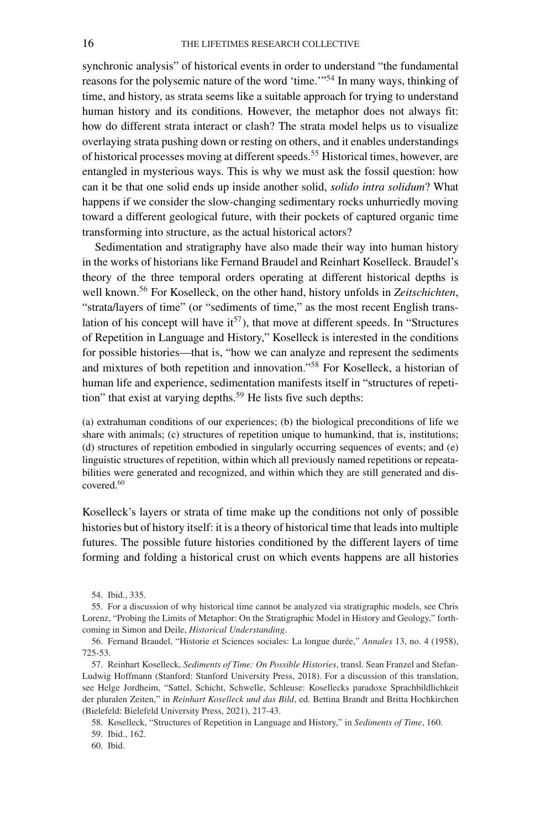synchronic analysis" of historical events in order to understand "the fundamental reasons for the polysemic nature of the word 'time.'"54 In many ways, thinking of time, and history, as strata seems like a suitable approach for trying to understand human history and its conditions. However, the metaphor does not always fit: how do different strata interact or clash? The strata model helps us to visualize overlaying strata pushing down or resting on others, and it enables understandings of historical processes moving at different speeds.<sup>55</sup> Historical times, however, are entangled in mysterious ways. This is why we must ask the fossil question: how can it be that one solid ends up inside another solid, *solido intra solidum*? What happens if we consider the slow-changing sedimentary rocks unhurriedly moving toward a different geological future, with their pockets of captured organic time transforming into structure, as the actual historical actors?

Sedimentation and stratigraphy have also made their way into human history in the works of historians like Fernand Braudel and Reinhart Koselleck. Braudel's theory of the three temporal orders operating at different historical depths is well known.56 For Koselleck, on the other hand, history unfolds in *Zeitschichten*, "strata/layers of time" (or "sediments of time," as the most recent English translation of his concept will have  $it^{57}$ ), that move at different speeds. In "Structures" of Repetition in Language and History," Koselleck is interested in the conditions for possible histories—that is, "how we can analyze and represent the sediments and mixtures of both repetition and innovation."<sup>58</sup> For Koselleck, a historian of human life and experience, sedimentation manifests itself in "structures of repetition" that exist at varying depths.<sup>59</sup> He lists five such depths:

(a) extrahuman conditions of our experiences; (b) the biological preconditions of life we share with animals; (c) structures of repetition unique to humankind, that is, institutions; (d) structures of repetition embodied in singularly occurring sequences of events; and (e) linguistic structures of repetition, within which all previously named repetitions or repeatabilities were generated and recognized, and within which they are still generated and discovered.<sup>60</sup>

Koselleck's layers or strata of time make up the conditions not only of possible histories but of history itself: it is a theory of historical time that leads into multiple futures. The possible future histories conditioned by the different layers of time forming and folding a historical crust on which events happens are all histories

<sup>54.</sup> Ibid., 335.

<sup>55.</sup> For a discussion of why historical time cannot be analyzed via stratigraphic models, see Chris Lorenz, "Probing the Limits of Metaphor: On the Stratigraphic Model in History and Geology," forthcoming in Simon and Deile, *Historical Understanding*.

<sup>56.</sup> Fernand Braudel, "Historie et Sciences sociales: La longue durée," *Annales* 13, no. 4 (1958), 725-53.

<sup>57.</sup> Reinhart Koselleck, *Sediments of Time: On Possible Histories*, transl. Sean Franzel and Stefan-Ludwig Hoffmann (Stanford: Stanford University Press, 2018). For a discussion of this translation, see Helge Jordheim, "Sattel, Schicht, Schwelle, Schleuse: Kosellecks paradoxe Sprachbildlichkeit der pluralen Zeiten," in *Reinhart Koselleck und das Bild*, ed. Bettina Brandt and Britta Hochkirchen (Bielefeld: Bielefeld University Press, 2021), 217-43.

<sup>58.</sup> Koselleck, "Structures of Repetition in Language and History," in *Sediments of Time*, 160.

<sup>59.</sup> Ibid., 162.

<sup>60.</sup> Ibid.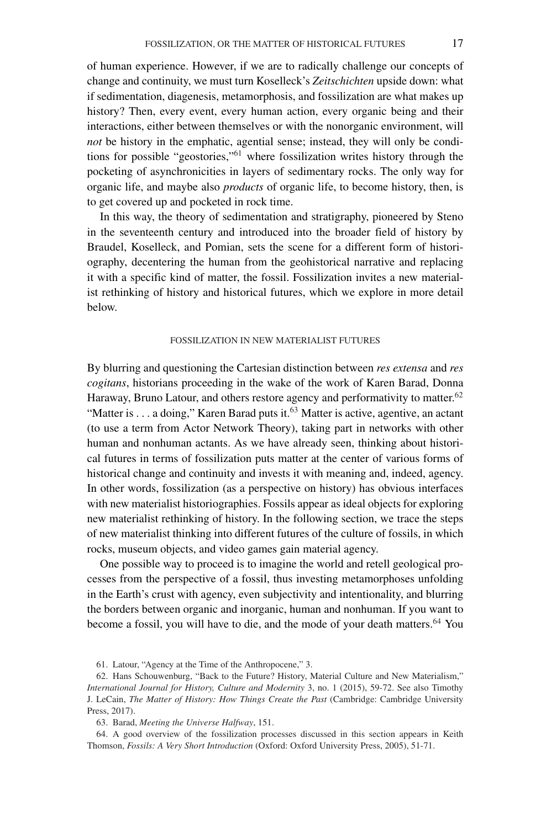of human experience. However, if we are to radically challenge our concepts of change and continuity, we must turn Koselleck's *Zeitschichten* upside down: what if sedimentation, diagenesis, metamorphosis, and fossilization are what makes up history? Then, every event, every human action, every organic being and their interactions, either between themselves or with the nonorganic environment, will *not* be history in the emphatic, agential sense; instead, they will only be conditions for possible "geostories,"<sup>61</sup> where fossilization writes history through the pocketing of asynchronicities in layers of sedimentary rocks. The only way for organic life, and maybe also *products* of organic life, to become history, then, is to get covered up and pocketed in rock time.

In this way, the theory of sedimentation and stratigraphy, pioneered by Steno in the seventeenth century and introduced into the broader field of history by Braudel, Koselleck, and Pomian, sets the scene for a different form of historiography, decentering the human from the geohistorical narrative and replacing it with a specific kind of matter, the fossil. Fossilization invites a new materialist rethinking of history and historical futures, which we explore in more detail below.

### FOSSILIZATION IN NEW MATERIALIST FUTURES

By blurring and questioning the Cartesian distinction between *res extensa* and *res cogitans*, historians proceeding in the wake of the work of Karen Barad, Donna Haraway, Bruno Latour, and others restore agency and performativity to matter. $62$ "Matter is . . . a doing," Karen Barad puts it.<sup>63</sup> Matter is active, agentive, an actant (to use a term from Actor Network Theory), taking part in networks with other human and nonhuman actants. As we have already seen, thinking about historical futures in terms of fossilization puts matter at the center of various forms of historical change and continuity and invests it with meaning and, indeed, agency. In other words, fossilization (as a perspective on history) has obvious interfaces with new materialist historiographies. Fossils appear as ideal objects for exploring new materialist rethinking of history. In the following section, we trace the steps of new materialist thinking into different futures of the culture of fossils, in which rocks, museum objects, and video games gain material agency.

One possible way to proceed is to imagine the world and retell geological processes from the perspective of a fossil, thus investing metamorphoses unfolding in the Earth's crust with agency, even subjectivity and intentionality, and blurring the borders between organic and inorganic, human and nonhuman. If you want to become a fossil, you will have to die, and the mode of your death matters.<sup>64</sup> You

61. Latour, "Agency at the Time of the Anthropocene," 3.

<sup>62.</sup> Hans Schouwenburg, "Back to the Future? History, Material Culture and New Materialism," *International Journal for History, Culture and Modernity* 3, no. 1 (2015), 59-72. See also Timothy J. LeCain, *The Matter of History: How Things Create the Past* (Cambridge: Cambridge University Press, 2017).

<sup>63.</sup> Barad, *Meeting the Universe Halfway*, 151.

<sup>64.</sup> A good overview of the fossilization processes discussed in this section appears in Keith Thomson, *Fossils: A Very Short Introduction* (Oxford: Oxford University Press, 2005), 51-71.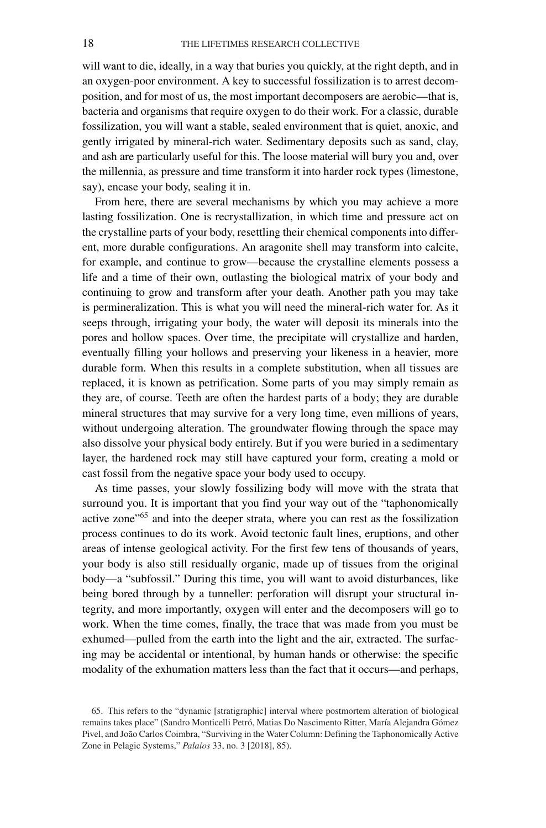will want to die, ideally, in a way that buries you quickly, at the right depth, and in an oxygen-poor environment. A key to successful fossilization is to arrest decomposition, and for most of us, the most important decomposers are aerobic—that is, bacteria and organisms that require oxygen to do their work. For a classic, durable fossilization, you will want a stable, sealed environment that is quiet, anoxic, and gently irrigated by mineral-rich water. Sedimentary deposits such as sand, clay, and ash are particularly useful for this. The loose material will bury you and, over the millennia, as pressure and time transform it into harder rock types (limestone, say), encase your body, sealing it in.

From here, there are several mechanisms by which you may achieve a more lasting fossilization. One is recrystallization, in which time and pressure act on the crystalline parts of your body, resettling their chemical components into different, more durable configurations. An aragonite shell may transform into calcite, for example, and continue to grow—because the crystalline elements possess a life and a time of their own, outlasting the biological matrix of your body and continuing to grow and transform after your death. Another path you may take is permineralization. This is what you will need the mineral-rich water for. As it seeps through, irrigating your body, the water will deposit its minerals into the pores and hollow spaces. Over time, the precipitate will crystallize and harden, eventually filling your hollows and preserving your likeness in a heavier, more durable form. When this results in a complete substitution, when all tissues are replaced, it is known as petrification. Some parts of you may simply remain as they are, of course. Teeth are often the hardest parts of a body; they are durable mineral structures that may survive for a very long time, even millions of years, without undergoing alteration. The groundwater flowing through the space may also dissolve your physical body entirely. But if you were buried in a sedimentary layer, the hardened rock may still have captured your form, creating a mold or cast fossil from the negative space your body used to occupy.

As time passes, your slowly fossilizing body will move with the strata that surround you. It is important that you find your way out of the "taphonomically active zone<sup>"65</sup> and into the deeper strata, where you can rest as the fossilization process continues to do its work. Avoid tectonic fault lines, eruptions, and other areas of intense geological activity. For the first few tens of thousands of years, your body is also still residually organic, made up of tissues from the original body—a "subfossil." During this time, you will want to avoid disturbances, like being bored through by a tunneller: perforation will disrupt your structural integrity, and more importantly, oxygen will enter and the decomposers will go to work. When the time comes, finally, the trace that was made from you must be exhumed—pulled from the earth into the light and the air, extracted. The surfacing may be accidental or intentional, by human hands or otherwise: the specific modality of the exhumation matters less than the fact that it occurs—and perhaps,

<sup>65.</sup> This refers to the "dynamic [stratigraphic] interval where postmortem alteration of biological remains takes place" (Sandro Monticelli Petró, Matias Do Nascimento Ritter, María Alejandra Gómez Pivel, and João Carlos Coimbra, "Surviving in the Water Column: Defining the Taphonomically Active Zone in Pelagic Systems," *Palaios* 33, no. 3 [2018], 85).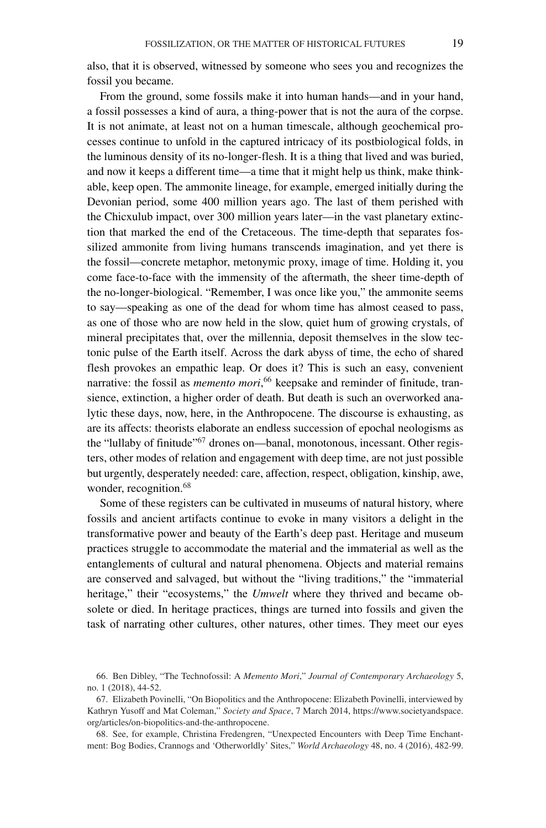also, that it is observed, witnessed by someone who sees you and recognizes the fossil you became.

From the ground, some fossils make it into human hands—and in your hand, a fossil possesses a kind of aura, a thing-power that is not the aura of the corpse. It is not animate, at least not on a human timescale, although geochemical processes continue to unfold in the captured intricacy of its postbiological folds, in the luminous density of its no-longer-flesh. It is a thing that lived and was buried, and now it keeps a different time—a time that it might help us think, make thinkable, keep open. The ammonite lineage, for example, emerged initially during the Devonian period, some 400 million years ago. The last of them perished with the Chicxulub impact, over 300 million years later—in the vast planetary extinction that marked the end of the Cretaceous. The time-depth that separates fossilized ammonite from living humans transcends imagination, and yet there is the fossil—concrete metaphor, metonymic proxy, image of time. Holding it, you come face-to-face with the immensity of the aftermath, the sheer time-depth of the no-longer-biological. "Remember, I was once like you," the ammonite seems to say—speaking as one of the dead for whom time has almost ceased to pass, as one of those who are now held in the slow, quiet hum of growing crystals, of mineral precipitates that, over the millennia, deposit themselves in the slow tectonic pulse of the Earth itself. Across the dark abyss of time, the echo of shared flesh provokes an empathic leap. Or does it? This is such an easy, convenient narrative: the fossil as *memento mori*, <sup>66</sup> keepsake and reminder of finitude, transience, extinction, a higher order of death. But death is such an overworked analytic these days, now, here, in the Anthropocene. The discourse is exhausting, as are its affects: theorists elaborate an endless succession of epochal neologisms as the "lullaby of finitude"<sup>67</sup> drones on—banal, monotonous, incessant. Other registers, other modes of relation and engagement with deep time, are not just possible but urgently, desperately needed: care, affection, respect, obligation, kinship, awe, wonder, recognition.<sup>68</sup>

Some of these registers can be cultivated in museums of natural history, where fossils and ancient artifacts continue to evoke in many visitors a delight in the transformative power and beauty of the Earth's deep past. Heritage and museum practices struggle to accommodate the material and the immaterial as well as the entanglements of cultural and natural phenomena. Objects and material remains are conserved and salvaged, but without the "living traditions," the "immaterial heritage," their "ecosystems," the *Umwelt* where they thrived and became obsolete or died. In heritage practices, things are turned into fossils and given the task of narrating other cultures, other natures, other times. They meet our eyes

68. See, for example, Christina Fredengren, "Unexpected Encounters with Deep Time Enchantment: Bog Bodies, Crannogs and 'Otherworldly' Sites," *World Archaeology* 48, no. 4 (2016), 482-99.

<sup>66.</sup> Ben Dibley, "The Technofossil: A *Memento Mori*," *Journal of Contemporary Archaeology* 5, no. 1 (2018), 44-52.

<sup>67.</sup> Elizabeth Povinelli, "On Biopolitics and the Anthropocene: Elizabeth Povinelli, interviewed by Kathryn Yusoff and Mat Coleman," *Society and Space*, 7 March 2014, [https://www.societyandspace.](https://www.societyandspace.org/articles/on-biopolitics-and-the-anthropocene) [org/articles/on-biopolitics-and-the-anthropocene.](https://www.societyandspace.org/articles/on-biopolitics-and-the-anthropocene)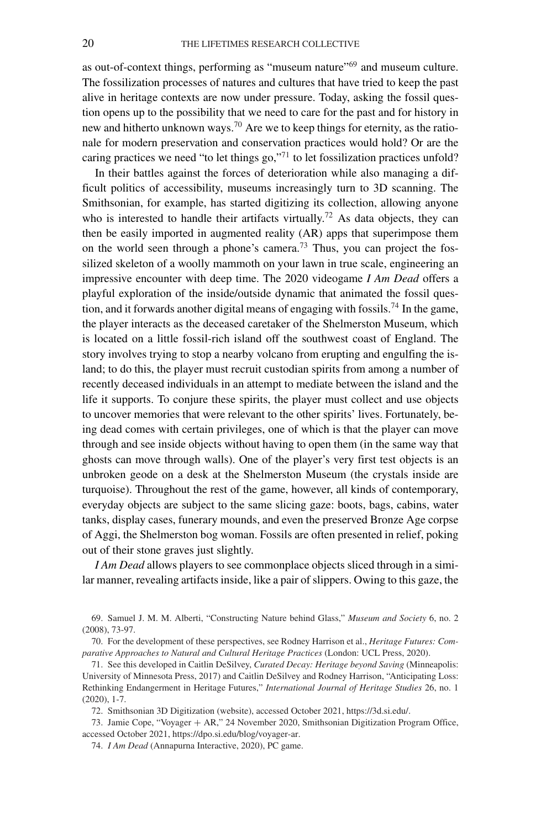as out-of-context things, performing as "museum nature"<sup>69</sup> and museum culture. The fossilization processes of natures and cultures that have tried to keep the past alive in heritage contexts are now under pressure. Today, asking the fossil question opens up to the possibility that we need to care for the past and for history in new and hitherto unknown ways.<sup>70</sup> Are we to keep things for eternity, as the rationale for modern preservation and conservation practices would hold? Or are the caring practices we need "to let things go," $71$  to let fossilization practices unfold?

In their battles against the forces of deterioration while also managing a difficult politics of accessibility, museums increasingly turn to 3D scanning. The Smithsonian, for example, has started digitizing its collection, allowing anyone who is interested to handle their artifacts virtually.<sup>72</sup> As data objects, they can then be easily imported in augmented reality (AR) apps that superimpose them on the world seen through a phone's camera.<sup>73</sup> Thus, you can project the fossilized skeleton of a woolly mammoth on your lawn in true scale, engineering an impressive encounter with deep time. The 2020 videogame *I Am Dead* offers a playful exploration of the inside/outside dynamic that animated the fossil question, and it forwards another digital means of engaging with fossils.<sup>74</sup> In the game, the player interacts as the deceased caretaker of the Shelmerston Museum, which is located on a little fossil-rich island off the southwest coast of England. The story involves trying to stop a nearby volcano from erupting and engulfing the island; to do this, the player must recruit custodian spirits from among a number of recently deceased individuals in an attempt to mediate between the island and the life it supports. To conjure these spirits, the player must collect and use objects to uncover memories that were relevant to the other spirits' lives. Fortunately, being dead comes with certain privileges, one of which is that the player can move through and see inside objects without having to open them (in the same way that ghosts can move through walls). One of the player's very first test objects is an unbroken geode on a desk at the Shelmerston Museum (the crystals inside are turquoise). Throughout the rest of the game, however, all kinds of contemporary, everyday objects are subject to the same slicing gaze: boots, bags, cabins, water tanks, display cases, funerary mounds, and even the preserved Bronze Age corpse of Aggi, the Shelmerston bog woman. Fossils are often presented in relief, poking out of their stone graves just slightly.

*I Am Dead* allows players to see commonplace objects sliced through in a similar manner, revealing artifacts inside, like a pair of slippers. Owing to this gaze, the

69. Samuel J. M. M. Alberti, "Constructing Nature behind Glass," *Museum and Society* 6, no. 2 (2008), 73-97.

70. For the development of these perspectives, see Rodney Harrison et al., *Heritage Futures: Comparative Approaches to Natural and Cultural Heritage Practices* (London: UCL Press, 2020).

71. See this developed in Caitlin DeSilvey, *Curated Decay: Heritage beyond Saving* (Minneapolis: University of Minnesota Press, 2017) and Caitlin DeSilvey and Rodney Harrison, "Anticipating Loss: Rethinking Endangerment in Heritage Futures," *International Journal of Heritage Studies* 26, no. 1 (2020), 1-7.

72. Smithsonian 3D Digitization (website), accessed October 2021, [https://3d.si.edu/.](https://3d.si.edu/)

73. Jamie Cope, "Voyager + AR," 24 November 2020, Smithsonian Digitization Program Office, accessed October 2021, [https://dpo.si.edu/blog/voyager-ar.](https://dpo.si.edu/blog/voyager-ar)

74. *I Am Dead* (Annapurna Interactive, 2020), PC game.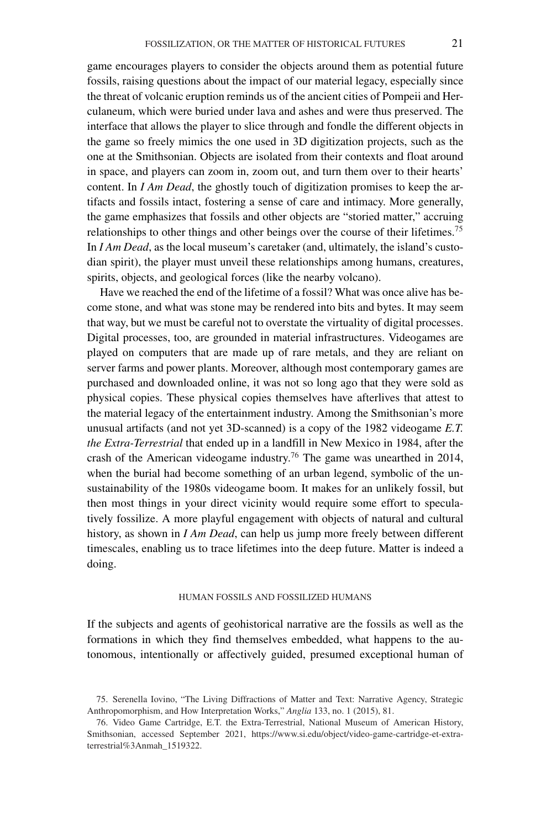game encourages players to consider the objects around them as potential future fossils, raising questions about the impact of our material legacy, especially since the threat of volcanic eruption reminds us of the ancient cities of Pompeii and Herculaneum, which were buried under lava and ashes and were thus preserved. The interface that allows the player to slice through and fondle the different objects in the game so freely mimics the one used in 3D digitization projects, such as the one at the Smithsonian. Objects are isolated from their contexts and float around in space, and players can zoom in, zoom out, and turn them over to their hearts' content. In *I Am Dead*, the ghostly touch of digitization promises to keep the artifacts and fossils intact, fostering a sense of care and intimacy. More generally, the game emphasizes that fossils and other objects are "storied matter," accruing relationships to other things and other beings over the course of their lifetimes.<sup>75</sup> In *I Am Dead*, as the local museum's caretaker (and, ultimately, the island's custodian spirit), the player must unveil these relationships among humans, creatures, spirits, objects, and geological forces (like the nearby volcano).

Have we reached the end of the lifetime of a fossil? What was once alive has become stone, and what was stone may be rendered into bits and bytes. It may seem that way, but we must be careful not to overstate the virtuality of digital processes. Digital processes, too, are grounded in material infrastructures. Videogames are played on computers that are made up of rare metals, and they are reliant on server farms and power plants. Moreover, although most contemporary games are purchased and downloaded online, it was not so long ago that they were sold as physical copies. These physical copies themselves have afterlives that attest to the material legacy of the entertainment industry. Among the Smithsonian's more unusual artifacts (and not yet 3D-scanned) is a copy of the 1982 videogame *E.T. the Extra-Terrestrial* that ended up in a landfill in New Mexico in 1984, after the crash of the American videogame industry.<sup>76</sup> The game was unearthed in 2014, when the burial had become something of an urban legend, symbolic of the unsustainability of the 1980s videogame boom. It makes for an unlikely fossil, but then most things in your direct vicinity would require some effort to speculatively fossilize. A more playful engagement with objects of natural and cultural history, as shown in *I Am Dead*, can help us jump more freely between different timescales, enabling us to trace lifetimes into the deep future. Matter is indeed a doing.

## HUMAN FOSSILS AND FOSSILIZED HUMANS

If the subjects and agents of geohistorical narrative are the fossils as well as the formations in which they find themselves embedded, what happens to the autonomous, intentionally or affectively guided, presumed exceptional human of

<sup>75.</sup> Serenella Iovino, "The Living Diffractions of Matter and Text: Narrative Agency, Strategic Anthropomorphism, and How Interpretation Works," *Anglia* 133, no. 1 (2015), 81.

<sup>76.</sup> Video Game Cartridge, E.T. the Extra-Terrestrial, National Museum of American History, Smithsonian, accessed September 2021, [https://www.si.edu/object/video-game-cartridge-et-extra](https://www.si.edu/object/video-game-cartridge-et-extra-terrestrial%3Anmah_1519322)[terrestrial%3Anmah\\_1519322.](https://www.si.edu/object/video-game-cartridge-et-extra-terrestrial%3Anmah_1519322)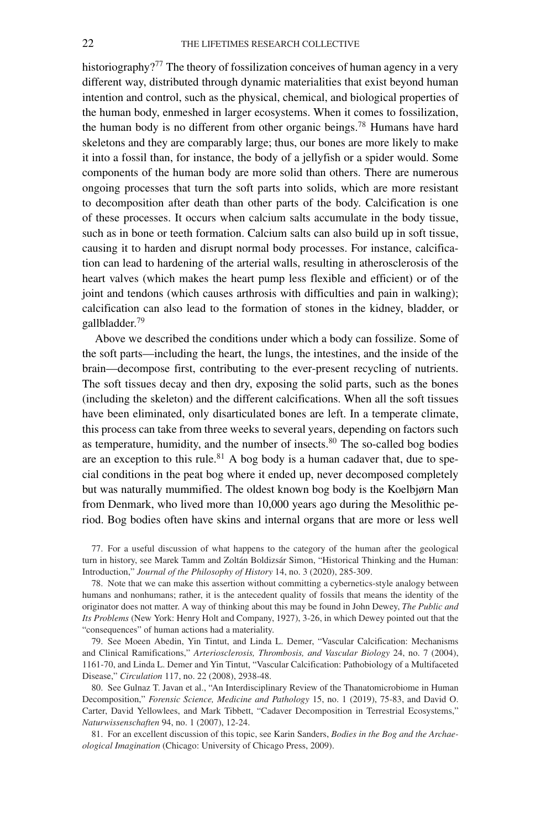historiography?<sup>77</sup> The theory of fossilization conceives of human agency in a very different way, distributed through dynamic materialities that exist beyond human intention and control, such as the physical, chemical, and biological properties of the human body, enmeshed in larger ecosystems. When it comes to fossilization, the human body is no different from other organic beings.<sup>78</sup> Humans have hard skeletons and they are comparably large; thus, our bones are more likely to make it into a fossil than, for instance, the body of a jellyfish or a spider would. Some components of the human body are more solid than others. There are numerous ongoing processes that turn the soft parts into solids, which are more resistant to decomposition after death than other parts of the body. Calcification is one of these processes. It occurs when calcium salts accumulate in the body tissue, such as in bone or teeth formation. Calcium salts can also build up in soft tissue, causing it to harden and disrupt normal body processes. For instance, calcification can lead to hardening of the arterial walls, resulting in atherosclerosis of the heart valves (which makes the heart pump less flexible and efficient) or of the joint and tendons (which causes arthrosis with difficulties and pain in walking); calcification can also lead to the formation of stones in the kidney, bladder, or gallbladder.<sup>79</sup>

Above we described the conditions under which a body can fossilize. Some of the soft parts—including the heart, the lungs, the intestines, and the inside of the brain—decompose first, contributing to the ever-present recycling of nutrients. The soft tissues decay and then dry, exposing the solid parts, such as the bones (including the skeleton) and the different calcifications. When all the soft tissues have been eliminated, only disarticulated bones are left. In a temperate climate, this process can take from three weeks to several years, depending on factors such as temperature, humidity, and the number of insects. $80$  The so-called bog bodies are an exception to this rule.<sup>81</sup> A bog body is a human cadaver that, due to special conditions in the peat bog where it ended up, never decomposed completely but was naturally mummified. The oldest known bog body is the Koelbjørn Man from Denmark, who lived more than 10,000 years ago during the Mesolithic period. Bog bodies often have skins and internal organs that are more or less well

77. For a useful discussion of what happens to the category of the human after the geological turn in history, see Marek Tamm and Zoltán Boldizsár Simon, "Historical Thinking and the Human: Introduction," *Journal of the Philosophy of History* 14, no. 3 (2020), 285-309.

78. Note that we can make this assertion without committing a cybernetics-style analogy between humans and nonhumans; rather, it is the antecedent quality of fossils that means the identity of the originator does not matter. A way of thinking about this may be found in John Dewey, *The Public and Its Problems* (New York: Henry Holt and Company, 1927), 3-26, in which Dewey pointed out that the "consequences" of human actions had a materiality.

79. See Moeen Abedin, Yin Tintut, and Linda L. Demer, "Vascular Calcification: Mechanisms and Clinical Ramifications," *Arteriosclerosis, Thrombosis, and Vascular Biology* 24, no. 7 (2004), 1161-70, and Linda L. Demer and Yin Tintut, "Vascular Calcification: Pathobiology of a Multifaceted Disease," *Circulation* 117, no. 22 (2008), 2938-48.

80. See Gulnaz T. Javan et al., "An Interdisciplinary Review of the Thanatomicrobiome in Human Decomposition," *Forensic Science, Medicine and Pathology* 15, no. 1 (2019), 75-83, and David O. Carter, David Yellowlees, and Mark Tibbett, "Cadaver Decomposition in Terrestrial Ecosystems," *Naturwissenschaften* 94, no. 1 (2007), 12-24.

81. For an excellent discussion of this topic, see Karin Sanders, *Bodies in the Bog and the Archaeological Imagination* (Chicago: University of Chicago Press, 2009).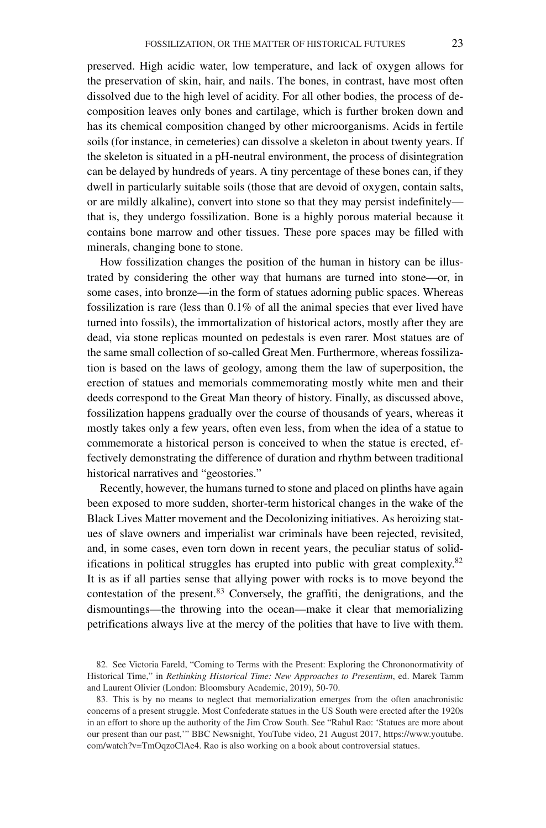preserved. High acidic water, low temperature, and lack of oxygen allows for the preservation of skin, hair, and nails. The bones, in contrast, have most often dissolved due to the high level of acidity. For all other bodies, the process of decomposition leaves only bones and cartilage, which is further broken down and has its chemical composition changed by other microorganisms. Acids in fertile soils (for instance, in cemeteries) can dissolve a skeleton in about twenty years. If the skeleton is situated in a pH-neutral environment, the process of disintegration can be delayed by hundreds of years. A tiny percentage of these bones can, if they dwell in particularly suitable soils (those that are devoid of oxygen, contain salts, or are mildly alkaline), convert into stone so that they may persist indefinitely that is, they undergo fossilization. Bone is a highly porous material because it contains bone marrow and other tissues. These pore spaces may be filled with minerals, changing bone to stone.

How fossilization changes the position of the human in history can be illustrated by considering the other way that humans are turned into stone—or, in some cases, into bronze—in the form of statues adorning public spaces. Whereas fossilization is rare (less than 0.1% of all the animal species that ever lived have turned into fossils), the immortalization of historical actors, mostly after they are dead, via stone replicas mounted on pedestals is even rarer. Most statues are of the same small collection of so-called Great Men. Furthermore, whereas fossilization is based on the laws of geology, among them the law of superposition, the erection of statues and memorials commemorating mostly white men and their deeds correspond to the Great Man theory of history. Finally, as discussed above, fossilization happens gradually over the course of thousands of years, whereas it mostly takes only a few years, often even less, from when the idea of a statue to commemorate a historical person is conceived to when the statue is erected, effectively demonstrating the difference of duration and rhythm between traditional historical narratives and "geostories."

Recently, however, the humans turned to stone and placed on plinths have again been exposed to more sudden, shorter-term historical changes in the wake of the Black Lives Matter movement and the Decolonizing initiatives. As heroizing statues of slave owners and imperialist war criminals have been rejected, revisited, and, in some cases, even torn down in recent years, the peculiar status of solidifications in political struggles has erupted into public with great complexity.82 It is as if all parties sense that allying power with rocks is to move beyond the contestation of the present.<sup>83</sup> Conversely, the graffiti, the denigrations, and the dismountings—the throwing into the ocean—make it clear that memorializing petrifications always live at the mercy of the polities that have to live with them.

<sup>82.</sup> See Victoria Fareld, "Coming to Terms with the Present: Exploring the Chrononormativity of Historical Time," in *Rethinking Historical Time: New Approaches to Presentism*, ed. Marek Tamm and Laurent Olivier (London: Bloomsbury Academic, 2019), 50-70.

<sup>83.</sup> This is by no means to neglect that memorialization emerges from the often anachronistic concerns of a present struggle. Most Confederate statues in the US South were erected after the 1920s in an effort to shore up the authority of the Jim Crow South. See "Rahul Rao: 'Statues are more about our present than our past,'" BBC Newsnight, YouTube video, 21 August 2017, [https://www.youtube.](https://www.youtube.com/watch?v=TmOqzoClAe4) [com/watch?v=TmOqzoClAe4.](https://www.youtube.com/watch?v=TmOqzoClAe4) Rao is also working on a book about controversial statues.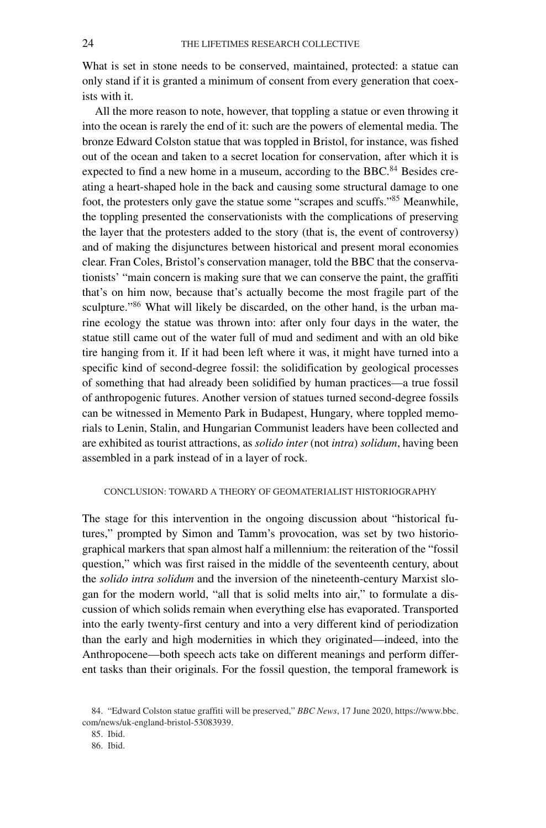What is set in stone needs to be conserved, maintained, protected: a statue can only stand if it is granted a minimum of consent from every generation that coexists with it.

All the more reason to note, however, that toppling a statue or even throwing it into the ocean is rarely the end of it: such are the powers of elemental media. The bronze Edward Colston statue that was toppled in Bristol, for instance, was fished out of the ocean and taken to a secret location for conservation, after which it is expected to find a new home in a museum, according to the BBC. $84$  Besides creating a heart-shaped hole in the back and causing some structural damage to one foot, the protesters only gave the statue some "scrapes and scuffs."<sup>85</sup> Meanwhile, the toppling presented the conservationists with the complications of preserving the layer that the protesters added to the story (that is, the event of controversy) and of making the disjunctures between historical and present moral economies clear. Fran Coles, Bristol's conservation manager, told the BBC that the conservationists' "main concern is making sure that we can conserve the paint, the graffiti that's on him now, because that's actually become the most fragile part of the sculpture."<sup>86</sup> What will likely be discarded, on the other hand, is the urban marine ecology the statue was thrown into: after only four days in the water, the statue still came out of the water full of mud and sediment and with an old bike tire hanging from it. If it had been left where it was, it might have turned into a specific kind of second-degree fossil: the solidification by geological processes of something that had already been solidified by human practices—a true fossil of anthropogenic futures. Another version of statues turned second-degree fossils can be witnessed in Memento Park in Budapest, Hungary, where toppled memorials to Lenin, Stalin, and Hungarian Communist leaders have been collected and are exhibited as tourist attractions, as *solido inter* (not *intra*) *solidum*, having been assembled in a park instead of in a layer of rock.

## CONCLUSION: TOWARD A THEORY OF GEOMATERIALIST HISTORIOGRAPHY

The stage for this intervention in the ongoing discussion about "historical futures," prompted by Simon and Tamm's provocation, was set by two historiographical markers that span almost half a millennium: the reiteration of the "fossil question," which was first raised in the middle of the seventeenth century, about the *solido intra solidum* and the inversion of the nineteenth-century Marxist slogan for the modern world, "all that is solid melts into air," to formulate a discussion of which solids remain when everything else has evaporated. Transported into the early twenty-first century and into a very different kind of periodization than the early and high modernities in which they originated—indeed, into the Anthropocene—both speech acts take on different meanings and perform different tasks than their originals. For the fossil question, the temporal framework is

<sup>84. &</sup>quot;Edward Colston statue graffiti will be preserved," *BBC News*, 17 June 2020, [https://www.bbc.](https://www.bbc.com/news/uk-england-bristol-53083939) [com/news/uk-england-bristol-53083939.](https://www.bbc.com/news/uk-england-bristol-53083939)

<sup>85.</sup> Ibid.

<sup>86.</sup> Ibid.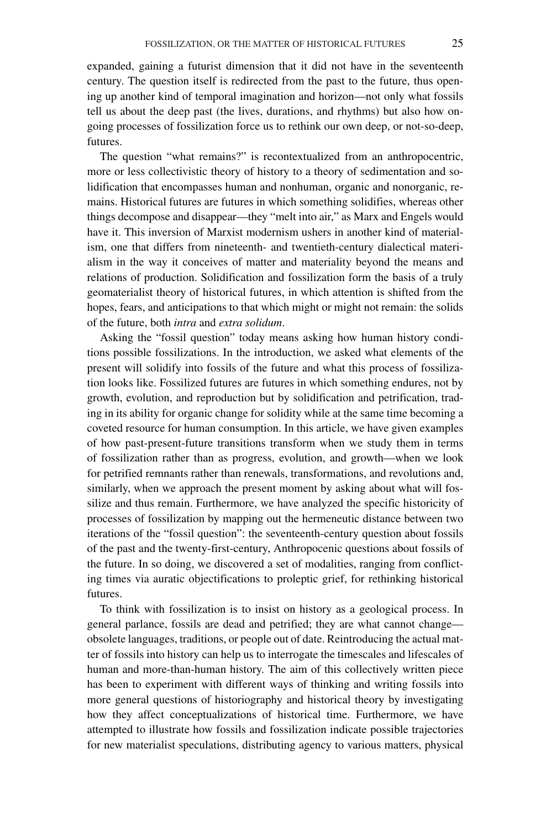expanded, gaining a futurist dimension that it did not have in the seventeenth century. The question itself is redirected from the past to the future, thus opening up another kind of temporal imagination and horizon—not only what fossils tell us about the deep past (the lives, durations, and rhythms) but also how ongoing processes of fossilization force us to rethink our own deep, or not-so-deep, futures.

The question "what remains?" is recontextualized from an anthropocentric, more or less collectivistic theory of history to a theory of sedimentation and solidification that encompasses human and nonhuman, organic and nonorganic, remains. Historical futures are futures in which something solidifies, whereas other things decompose and disappear—they "melt into air," as Marx and Engels would have it. This inversion of Marxist modernism ushers in another kind of materialism, one that differs from nineteenth- and twentieth-century dialectical materialism in the way it conceives of matter and materiality beyond the means and relations of production. Solidification and fossilization form the basis of a truly geomaterialist theory of historical futures, in which attention is shifted from the hopes, fears, and anticipations to that which might or might not remain: the solids of the future, both *intra* and *extra solidum*.

Asking the "fossil question" today means asking how human history conditions possible fossilizations. In the introduction, we asked what elements of the present will solidify into fossils of the future and what this process of fossilization looks like. Fossilized futures are futures in which something endures, not by growth, evolution, and reproduction but by solidification and petrification, trading in its ability for organic change for solidity while at the same time becoming a coveted resource for human consumption. In this article, we have given examples of how past-present-future transitions transform when we study them in terms of fossilization rather than as progress, evolution, and growth—when we look for petrified remnants rather than renewals, transformations, and revolutions and, similarly, when we approach the present moment by asking about what will fossilize and thus remain. Furthermore, we have analyzed the specific historicity of processes of fossilization by mapping out the hermeneutic distance between two iterations of the "fossil question": the seventeenth-century question about fossils of the past and the twenty-first-century, Anthropocenic questions about fossils of the future. In so doing, we discovered a set of modalities, ranging from conflicting times via auratic objectifications to proleptic grief, for rethinking historical futures.

To think with fossilization is to insist on history as a geological process. In general parlance, fossils are dead and petrified; they are what cannot change obsolete languages, traditions, or people out of date. Reintroducing the actual matter of fossils into history can help us to interrogate the timescales and lifescales of human and more-than-human history. The aim of this collectively written piece has been to experiment with different ways of thinking and writing fossils into more general questions of historiography and historical theory by investigating how they affect conceptualizations of historical time. Furthermore, we have attempted to illustrate how fossils and fossilization indicate possible trajectories for new materialist speculations, distributing agency to various matters, physical